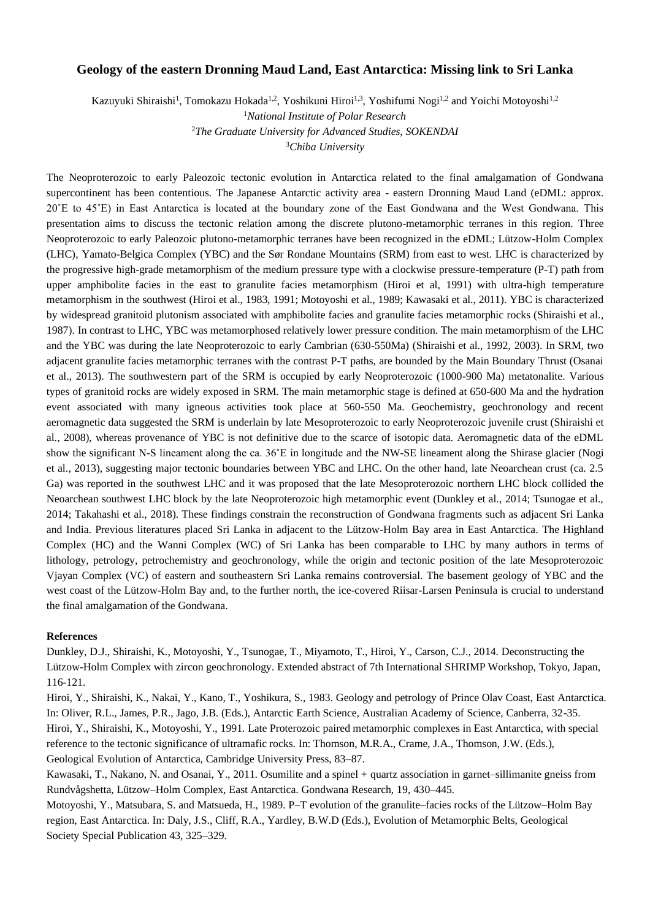## **Geology of the eastern Dronning Maud Land, East Antarctica: Missing link to Sri Lanka**

Kazuyuki Shiraishi<sup>1</sup>, Tomokazu Hokada<sup>1,2</sup>, Yoshikuni Hiroi<sup>1,3</sup>, Yoshifumi Nogi<sup>1,2</sup> and Yoichi Motoyoshi<sup>1,2</sup>

<sup>1</sup>*National Institute of Polar Research* <sup>2</sup>*The Graduate University for Advanced Studies, SOKENDAI* <sup>3</sup>*Chiba University*

The Neoproterozoic to early Paleozoic tectonic evolution in Antarctica related to the final amalgamation of Gondwana supercontinent has been contentious. The Japanese Antarctic activity area - eastern Dronning Maud Land (eDML: approx. 20˚E to 45˚E) in East Antarctica is located at the boundary zone of the East Gondwana and the West Gondwana. This presentation aims to discuss the tectonic relation among the discrete plutono-metamorphic terranes in this region. Three Neoproterozoic to early Paleozoic plutono-metamorphic terranes have been recognized in the eDML; Lützow-Holm Complex (LHC), Yamato-Belgica Complex (YBC) and the Sør Rondane Mountains (SRM) from east to west. LHC is characterized by the progressive high-grade metamorphism of the medium pressure type with a clockwise pressure-temperature (P-T) path from upper amphibolite facies in the east to granulite facies metamorphism (Hiroi et al, 1991) with ultra-high temperature metamorphism in the southwest (Hiroi et al., 1983, 1991; Motoyoshi et al., 1989; Kawasaki et al., 2011). YBC is characterized by widespread granitoid plutonism associated with amphibolite facies and granulite facies metamorphic rocks (Shiraishi et al., 1987). In contrast to LHC, YBC was metamorphosed relatively lower pressure condition. The main metamorphism of the LHC and the YBC was during the late Neoproterozoic to early Cambrian (630-550Ma) (Shiraishi et al., 1992, 2003). In SRM, two adjacent granulite facies metamorphic terranes with the contrast P-T paths, are bounded by the Main Boundary Thrust (Osanai et al., 2013). The southwestern part of the SRM is occupied by early Neoproterozoic (1000-900 Ma) metatonalite. Various types of granitoid rocks are widely exposed in SRM. The main metamorphic stage is defined at 650-600 Ma and the hydration event associated with many igneous activities took place at 560-550 Ma. Geochemistry, geochronology and recent aeromagnetic data suggested the SRM is underlain by late Mesoproterozoic to early Neoproterozoic juvenile crust (Shiraishi et al., 2008), whereas provenance of YBC is not definitive due to the scarce of isotopic data. Aeromagnetic data of the eDML show the significant N-S lineament along the ca. 36˚E in longitude and the NW-SE lineament along the Shirase glacier (Nogi et al., 2013), suggesting major tectonic boundaries between YBC and LHC. On the other hand, late Neoarchean crust (ca. 2.5 Ga) was reported in the southwest LHC and it was proposed that the late Mesoproterozoic northern LHC block collided the Neoarchean southwest LHC block by the late Neoproterozoic high metamorphic event (Dunkley et al., 2014; Tsunogae et al., 2014; Takahashi et al., 2018). These findings constrain the reconstruction of Gondwana fragments such as adjacent Sri Lanka and India. Previous literatures placed Sri Lanka in adjacent to the Lützow-Holm Bay area in East Antarctica. The Highland Complex (HC) and the Wanni Complex (WC) of Sri Lanka has been comparable to LHC by many authors in terms of lithology, petrology, petrochemistry and geochronology, while the origin and tectonic position of the late Mesoproterozoic Vjayan Complex (VC) of eastern and southeastern Sri Lanka remains controversial. The basement geology of YBC and the west coast of the Lützow-Holm Bay and, to the further north, the ice-covered Riisar-Larsen Peninsula is crucial to understand the final amalgamation of the Gondwana.

## **References**

Dunkley, D.J., Shiraishi, K., Motoyoshi, Y., Tsunogae, T., Miyamoto, T., Hiroi, Y., Carson, C.J., 2014. Deconstructing the Lützow-Holm Complex with zircon geochronology. Extended abstract of 7th International SHRIMP Workshop, Tokyo, Japan, 116-121.

Hiroi, Y., Shiraishi, K., Nakai, Y., Kano, T., Yoshikura, S., 1983. Geology and petrology of Prince Olav Coast, East Antarctica. In: Oliver, R.L., James, P.R., Jago, J.B. (Eds.), Antarctic Earth Science, Australian Academy of Science, Canberra, 32-35. Hiroi, Y., Shiraishi, K., Motoyoshi, Y., 1991. Late Proterozoic paired metamorphic complexes in East Antarctica, with special reference to the tectonic significance of ultramafic rocks. In: Thomson, M.R.A., Crame, J.A., Thomson, J.W. (Eds.), Geological Evolution of Antarctica, Cambridge University Press, 83–87.

Kawasaki, T., Nakano, N. and Osanai, Y., 2011. Osumilite and a spinel + quartz association in garnet–sillimanite gneiss from Rundvågshetta, Lützow–Holm Complex, East Antarctica. Gondwana Research, 19, 430–445.

Motoyoshi, Y., Matsubara, S. and Matsueda, H., 1989. P–T evolution of the granulite–facies rocks of the Lützow–Holm Bay region, East Antarctica. In: Daly, J.S., Cliff, R.A., Yardley, B.W.D (Eds.), Evolution of Metamorphic Belts, Geological Society Special Publication 43, 325–329.